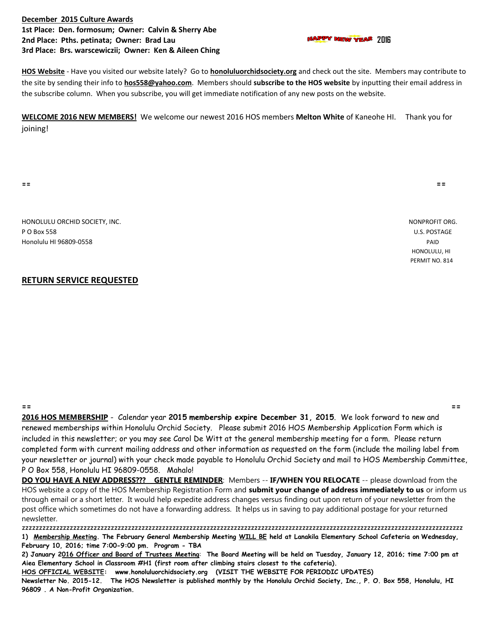## **December 2015 Culture Awards 1st Place: Den. formosum; Owner: Calvin & Sherry Abe 2nd Place: Pths. petinata; Owner: Brad Lau <b>1200 Connection Connection Connection** Property Planet Planet 2016 **3rd Place: Brs. warscewiczii; Owner: Ken & Aileen Ching**

**HOS Website** - Have you visited our website lately? Go to **honoluluorchidsociety.org** and check out the site. Members may contribute to the site by sending their info to **hos558@yahoo.com**. Members should **subscribe to the HOS website** by inputting their email address in the subscribe column. When you subscribe, you will get immediate notification of any new posts on the website.

**WELCOME 2016 NEW MEMBERS!** We welcome our newest 2016 HOS members **Melton White** of Kaneohe HI. Thank you for joining!

**== ==**

HONOLULU ORCHID SOCIETY, INC. NONPROFIT ORG. P O Box 558 U.S. POSTAGE Honolulu HI 96809-0558 PAID

## **RETURN SERVICE REQUESTED**

**== == 2016 HOS MEMBERSHIP** - Calendar year **2015 membership expire December 31, 2015**. We look forward to new and renewed memberships within Honolulu Orchid Society. Please submit 2016 HOS Membership Application Form which is included in this newsletter; or you may see Carol De Witt at the general membership meeting for a form. Please return completed form with current mailing address and other information as requested on the form (include the mailing label from your newsletter or journal) with your check made payable to Honolulu Orchid Society and mail to HOS Membership Committee, P O Box 558, Honolulu HI 96809-0558. Mahalo!

**DO YOU HAVE A NEW ADDRESS??? GENTLE REMINDER**: Members -- **IF/WHEN YOU RELOCATE** -- please download from the HOS website a copy of the HOS Membership Registration Form and **submit your change of address immediately to us** or inform us through email or a short letter. It would help expedite address changes versus finding out upon return of your newsletter from the post office which sometimes do not have a forwarding address. It helps us in saving to pay additional postage for your returned newsletter.

zzzzzzzzzzzzzzzzzzzzzzzzzzzzzzzzzzzzzzzzzzzzzzzzzzzzzzzzzzzzzzzzzzzzzzzzzzzzzzzzzzzzzzzzzzzzzzzzzzzzzzzzzzzzzzzzzzzzzzzzzzzzzzzzz **1) Membership Meeting. The February General Membership Meeting WILL BE held at Lanakila Elementary School Cafeteria on Wednesday, February 10, 2016; time 7:00-9:00 pm. Program - TBA**

**2) January 2016 Officer and Board of Trustees Meeting**: **The Board Meeting will be held on Tuesday, January 12, 2016; time 7:00 pm at Aiea Elementary School in Classroom #H1 (first room after climbing stairs closest to the cafeteria).** 

**HOS OFFICIAL WEBSITE: www.honoluluorchidsociety.org (VISIT THE WEBSITE FOR PERIODIC UPDATES)**

**Newsletter No. 2015-12. The HOS Newsletter is published monthly by the Honolulu Orchid Society, Inc., P. O. Box 558, Honolulu, HI 96809 . A Non-Profit Organization.** 

 HONOLULU, HI PERMIT NO. 814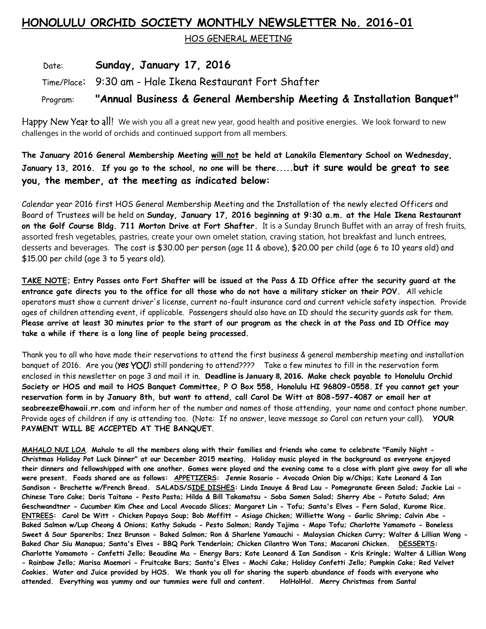## **HONOLULU ORCHID SOCIETY MONTHLY NEWSLETTER No. 2016-01**

HOS GENERAL MEETING

Date: **Sunday, January 17, 2016**

Time/Place: 9:30 am - Hale Ikena Restaurant Fort Shafter

Program: **"Annual Business & General Membership Meeting & Installation Banquet"**

Happy New Year to all! We wish you all a great new year, good health and positive energies. We look forward to new challenges in the world of orchids and continued support from all members.

**The January 2016 General Membership Meeting will not be held at Lanakila Elementary School on Wednesday, January 13, 2016. If you go to the school, no one will be there.....but it sure would be great to see you, the member, at the meeting as indicated below:**

Calendar year 2016 first HOS General Membership Meeting and the Installation of the newly elected Officers and Board of Trustees will be held on **Sunday, January 17, 2016 beginning at 9:30 a.m. at the Hale Ikena Restaurant on the Golf Course Bldg. 711 Morton Drive at Fort Shafter.** It is a Sunday Brunch Buffet with an array of fresh fruits, assorted fresh vegetables, pastries, create your own omelet station, craving station, hot breakfast and lunch entrees, desserts and beverages. The cost is \$30.00 per person (age 11 & above), \$20.00 per child (age 6 to 10 years old) and \$15.00 per child (age 3 to 5 years old).

**TAKE NOTE; Entry Passes onto Fort Shafter will be issued at the Pass & ID Office after the security guard at the entrance gate directs you to the office for all those who do not have a military sticker on their POV.** All vehicle operators must show a current driver's license, current no-fault insurance card and current vehicle safety inspection. Provide ages of children attending event, if applicable. Passengers should also have an ID should the security guards ask for them. **Please arrive at least 30 minutes prior to the start of our program as the check in at the Pass and ID Office may take a while if there is a long line of people being processed.**

Thank you to all who have made their reservations to attend the first business & general membership meeting and installation banquet of 2016. Are you (yes YOU) still pondering to attend???? Take a few minutes to fill in the reservation form enclosed in this newsletter on page 3 and mail it in. **Deadline is January 8, 2016. Make check payable to Honolulu Orchid Society or HOS and mail to HOS Banquet Committee, P O Box 558, Honolulu HI 96809-0558. If you cannot get your reservation form in by January 8th, but want to attend, call Carol De Witt at 808-597-4087 or email her at seabreeze@hawaii.rr.com** and inform her of the number and names of those attending, your name and contact phone number. Provide ages of children if any is attending too. (Note: If no answer, leave message so Carol can return your call). **YOUR PAYMENT WILL BE ACCEPTED AT THE BANQUET**.

**MAHALO NUI LOA**. **Mahalo to all the members along with their families and friends who came to celebrate "Family Night - Christmas Holiday Pot Luck Dinner" at our December 2015 meeting. Holiday music played in the background as everyone enjoyed their dinners and fellowshipped with one another. Games were played and the evening came to a close with plant give away for all who were present. Foods shared are as follows: APPETIZERS: Jennie Rosario - Avocado Onion Dip w/Chips; Kate Leonard & Ian Sandison - Brochette w/French Bread. SALADS/SIDE DISHES: Linda Inouye & Brad Lau - Pomegranate Green Salad; Jackie Lai - Chinese Taro Cake; Doris Taitano - Pesto Pasta; Hilda & Bill Takamatsu - Soba Somen Salad; Sherry Abe - Potato Salad; Ann Geschwandtner - Cucumber Kim Chee and Local Avocado Slices; Margaret Lin - Tofu; Santa's Elves - Fern Salad, Kurome Rice. ENTREES: Carol De Witt - Chicken Papaya Soup; Bob Moffitt - Asiago Chicken; Williette Wong - Garlic Shrimp; Calvin Abe - Baked Salmon w/Lup Cheong & Onions; Kathy Sakuda - Pesto Salmon; Randy Tajima - Mapo Tofu; Charlotte Yamamoto - Boneless Sweet & Sour Spareribs; Inez Brunson - Baked Salmon; Ron & Sharlene Yamauchi - Malaysian Chicken Curry; Walter & Lillian Wong - Baked Char Siu Manapua; Santa's Elves - BBQ Pork Tenderloin; Chicken Cilantro Won Tons; Macaroni Chicken. DESSERTS: Charlotte Yamamoto - Confetti Jello; Beaudine Ma - Energy Bars; Kate Leonard & Ian Sandison - Kris Kringle; Walter & Lillian Wong - Rainbow Jello; Marisa Maemori - Fruitcake Bars; Santa's Elves - Mochi Cake; Holiday Confetti Jello; Pumpkin Cake; Red Velvet Cookies. Water and Juice provided by HOS. We thank you all for sharing the superb abundance of foods with everyone who attended. Everything was yummy and our tummies were full and content. Ho!Ho!Ho!. Merry Christmas from Santa!**